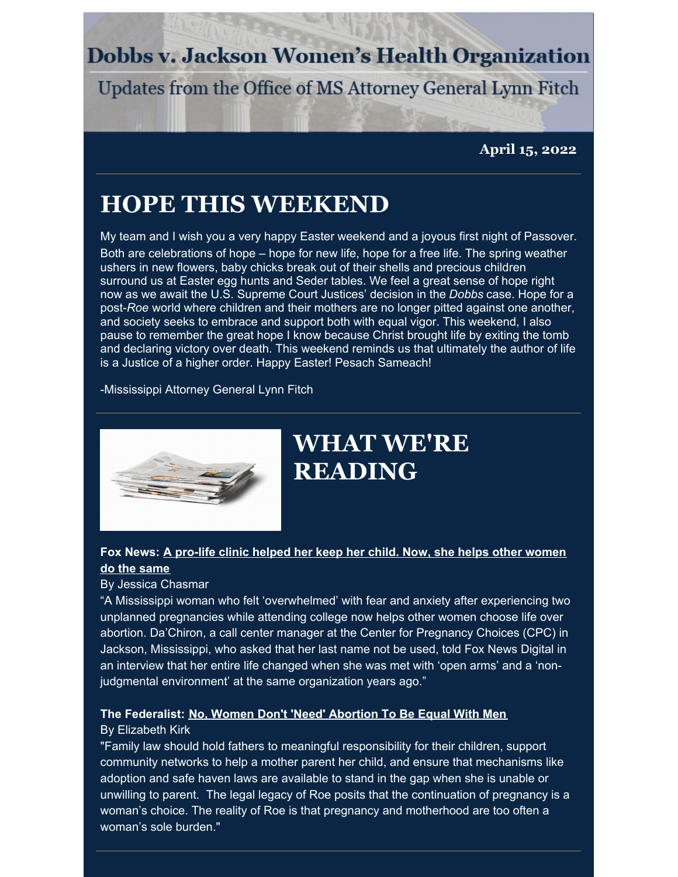### **Dobbs v. Jackson Women's Health Organization**

Updates from the Office of MS Attorney General Lynn Fitch

**April 15, 2022**

### **HOPE THIS WEEKEND**

My team and I wish you a very happy Easter weekend and a joyous first night of Passover. Both are celebrations of hope – hope for new life, hope for a free life. The spring weather ushers in new flowers, baby chicks break out of their shells and precious children surround us at Easter egg hunts and Seder tables. We feel a great sense of hope right now as we await the U.S. Supreme Court Justices' decision in the *Dobbs* case. Hope for a post-*Roe* world where children and their mothers are no longer pitted against one another, and society seeks to embrace and support both with equal vigor. This weekend, I also pause to remember the great hope I know because Christ brought life by exiting the tomb and declaring victory over death. This weekend reminds us that ultimately the author of life is a Justice of a higher order. Happy Easter! Pesach Sameach!

-Mississippi Attorney General Lynn Fitch



# **WHAT WE'RE READING**

#### **Fox News: A pro-life clinic helped her keep her child. Now, she helps other [women](https://www.foxnews.com/politics/pro-life-clinic-helped-child-women) do the same**

#### By Jessica Chasmar

"A Mississippi woman who felt 'overwhelmed' with fear and anxiety after experiencing two unplanned pregnancies while attending college now helps other women choose life over abortion. Da'Chiron, a call center manager at the Center for Pregnancy Choices (CPC) in Jackson, Mississippi, who asked that her last name not be used, told Fox News Digital in an interview that her entire life changed when she was met with 'open arms' and a 'nonjudgmental environment' at the same organization years ago."

#### **The Federalist: No, Women Don't 'Need' [Abortion](https://thefederalist.com/2022/04/14/no-women-dont-need-abortion-to-be-equal-with-men/) To Be Equal With Men**

#### By Elizabeth Kirk

"Family law should hold fathers to meaningful responsibility for their children, support community networks to help a mother parent her child, and ensure that mechanisms like adoption and safe haven laws are available to stand in the gap when she is unable or unwilling to parent. The legal legacy of Roe posits that the continuation of pregnancy is a woman's choice. The reality of Roe is that pregnancy and motherhood are too often a woman's sole burden."